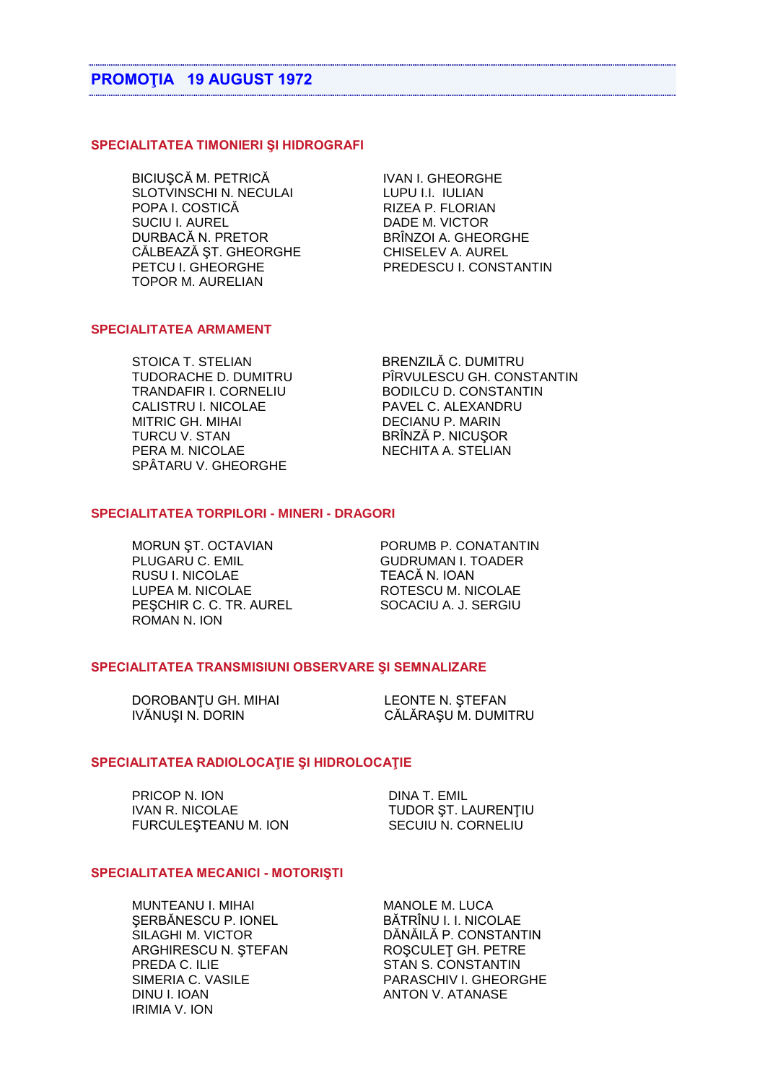### SPECIALITATEA TIMONIERI ȘI HIDROGRAFI

BICIUȘCĂ M. PETRICĂ SLOTVINSCHI N. NECULAI POPA I. COSTICĂ **SUCIU I. AUREL** DURBACĂ N. PRETOR CĂLBEAZĂ ST. GHEORGHE PETCU I. GHEORGHE **TOPOR M. AURELIAN** 

**IVAN I. GHEORGHE** LUPU I.I. IULIAN RIZEA P. FLORIAN DADE M. VICTOR BRÎNZOI A. GHEORGHE CHISELEV A. AUREL PREDESCU I. CONSTANTIN

### **SPECIALITATEA ARMAMENT**

STOICA T STELIAN TUDORACHE D. DUMITRU TRANDAFIR I. CORNELIU CALISTRU I. NICOLAE **MITRIC GH. MIHAI TURCU V. STAN** PERA M. NICOLAE SPÂTARU V. GHEORGHE

**BRENZILĂC DUMITRU** PÎRVULESCU GH. CONSTANTIN **BODILCU D. CONSTANTIN** PAVEL C. ALEXANDRU **DECIANU P. MARIN** BRÎNZĂ P. NICUSOR NECHITA A. STELIAN

## **SPECIALITATEA TORPILORI - MINERI - DRAGORI**

MORUN ST. OCTAVIAN PLUGARU C. EMIL **RUSU I. NICOLAE** LUPEA M. NICOLAE PEŞCHIR C. C. TR. AUREL ROMAN N. ION

PORUMB P. CONATANTIN **GUDRUMAN L TOADER** TEACĂ N. IOAN ROTESCU M. NICOLAE SOCACIU A. J. SERGIU

### SPECIALITATEA TRANSMISIUNI OBSERVARE ȘI SEMNALIZARE

DOROBANTU GH. MIHAI IVĂNUȘI N. DORIN

**LEONTE N. STEFAN** CĂLĂRAȘU M. DUMITRU

### SPECIALITATEA RADIOLOCAȚIE ȘI HIDROLOCAȚIE

PRICOP N. ION **IVAN R. NICOLAE** FURCULESTEANU M. ION

**DINA T. EMIL** TUDOR ST. LAURENTIU SECUIU N. CORNELIU

### SPECIALITATEA MECANICI - MOTORISTI

MUNTEANU I. MIHAI SERBĂNESCU P. IONEL SILAGHI M. VICTOR ARGHIRESCU N. STEFAN PREDA C. ILIE SIMERIA C. VASILE DINU I. IOAN **IRIMIA V. ION** 

MANOLE M. LUCA BĂTRÎNU I. I. NICOLAE DĂNĂILĂ P. CONSTANTIN ROSCULET GH. PETRE STAN S. CONSTANTIN PARASCHIV I. GHEORGHE **ANTON V. ATANASE**